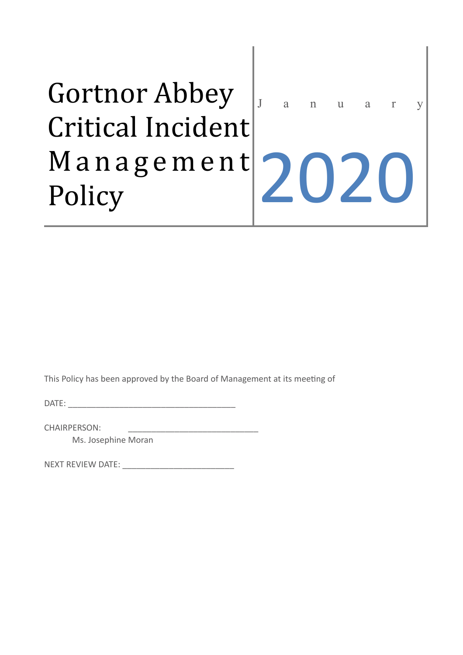# Gortnor Abbey Critical Incident M a n a g e m e n t Policy

January

2020

This Policy has been approved by the Board of Management at its meeting of

 $\mathsf{DATE}$ :

CHAIRPERSON:

Ms. Josephine Moran

NEXT REVIEW DATE: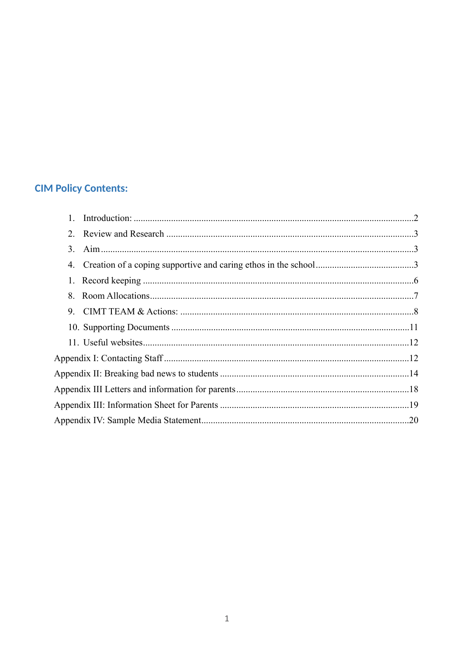### **CIM Policy Contents:**

| 3. |  |
|----|--|
| 4. |  |
|    |  |
| 8  |  |
| 9  |  |
|    |  |
|    |  |
|    |  |
|    |  |
|    |  |
|    |  |
|    |  |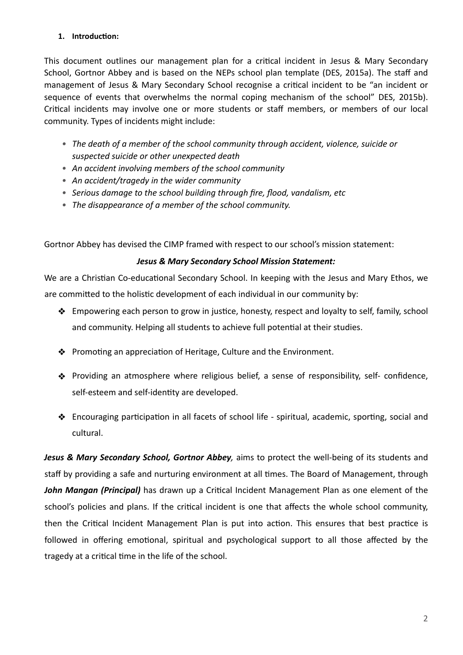#### <span id="page-2-0"></span>1. **Introduction:**

This document outlines our management plan for a critical incident in Jesus & Mary Secondary School, Gortnor Abbey and is based on the NEPs school plan template (DES, 2015a). The staff and management of Jesus & Mary Secondary School recognise a critical incident to be "an incident or sequence of events that overwhelms the normal coping mechanism of the school" DES, 2015b). Critical incidents may involve one or more students or staff members, or members of our local community. Types of incidents might include:

- *• The death of a member of the school community through accident, violence, suicide or suspected suicide or other unexpected death*
- *• An accident involving members of the school community*
- *• An accident/tragedy in the wider community*
- *• Serious damage to the school building through fire, flood, vandalism, etc*
- *• The disappearance of a member of the school community.*

Gortnor Abbey has devised the CIMP framed with respect to our school's mission statement:

#### *Jesus & Mary Secondary School Mission Statement:*

We are a Christian Co-educational Secondary School. In keeping with the Jesus and Mary Ethos, we are committed to the holistic development of each individual in our community by:

- ❖ Empowering each person to grow in jus9ce, honesty, respect and loyalty to self, family, school and community. Helping all students to achieve full potential at their studies.
- $\triangleq$  Promoting an appreciation of Heritage, Culture and the Environment.
- ❖ Providing an atmosphere where religious belief, a sense of responsibility, self- confidence, self-esteem and self-identity are developed.
- ◆ Encouraging participation in all facets of school life spiritual, academic, sporting, social and cultural.

*Jesus & Mary Secondary School, Gortnor Abbey,* aims to protect the well-being of its students and staff by providing a safe and nurturing environment at all times. The Board of Management, through John Mangan (Principal) has drawn up a Critical Incident Management Plan as one element of the school's policies and plans. If the critical incident is one that affects the whole school community, then the Critical Incident Management Plan is put into action. This ensures that best practice is followed in offering emotional, spiritual and psychological support to all those affected by the tragedy at a critical time in the life of the school.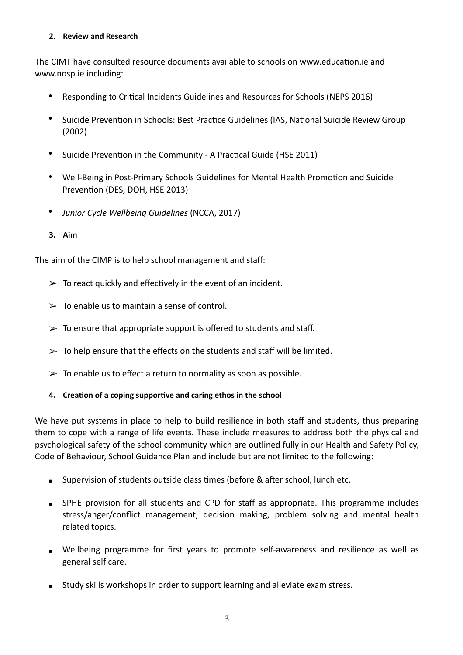#### <span id="page-3-0"></span>**2. Review and Research**

The CIMT have consulted resource documents available to schools on www.education.ie and www.nosp.ie including:

- Responding to Critical Incidents Guidelines and Resources for Schools (NEPS 2016)
- Suicide Prevention in Schools: Best Practice Guidelines (IAS, National Suicide Review Group (2002)
- Suicide Prevention in the Community A Practical Guide (HSE 2011)
- Well-Being in Post-Primary Schools Guidelines for Mental Health Promotion and Suicide Prevention (DES, DOH, HSE 2013)
- *Junior Cycle Wellbeing Guidelines* (NCCA, 2017)
- <span id="page-3-1"></span>**3. Aim**

The aim of the CIMP is to help school management and staff:

- $\geq$  To react quickly and effectively in the event of an incident.
- $\geq$  To enable us to maintain a sense of control.
- $\geq$  To ensure that appropriate support is offered to students and staff.
- $\geq$  To help ensure that the effects on the students and staff will be limited.
- $\geq$  To enable us to effect a return to normality as soon as possible.
- <span id="page-3-2"></span>4. Creation of a coping supportive and caring ethos in the school

We have put systems in place to help to build resilience in both staff and students, thus preparing them to cope with a range of life events. These include measures to address both the physical and psychological safety of the school community which are outlined fully in our Health and Safety Policy, Code of Behaviour, School Guidance Plan and include but are not limited to the following:

- **EXECT** Supervision of students outside class times (before & after school, lunch etc.
- **EXPHE provision for all students and CPD for staff as appropriate. This programme includes** stress/anger/conflict management, decision making, problem solving and mental health related topics.
- Wellbeing programme for first years to promote self-awareness and resilience as well as general self care.
- **EXECT** Study skills workshops in order to support learning and alleviate exam stress.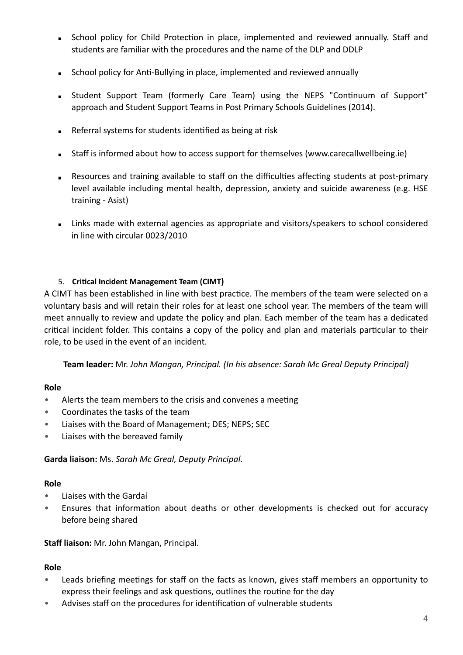- **EXECT School policy for Child Protection in place, implemented and reviewed annually. Staff and** students are familiar with the procedures and the name of the DLP and DDLP
- **EXEDENT School policy for Anti-Bullying in place, implemented and reviewed annually**
- **E** Student Support Team (formerly Care Team) using the NEPS "Continuum of Support" approach and Student Support Teams in Post Primary Schools Guidelines (2014).
- Referral systems for students identified as being at risk
- Staff is informed about how to access support for themselves (www.carecallwellbeing.ie)
- Resources and training available to staff on the difficulties affecting students at post-primary level available including mental health, depression, anxiety and suicide awareness (e.g. HSE training - Asist)
- **EXECT** Links made with external agencies as appropriate and visitors/speakers to school considered in line with circular 0023/2010

#### 5. **Critical Incident Management Team (CIMT)**

A CIMT has been established in line with best practice. The members of the team were selected on a voluntary basis and will retain their roles for at least one school year. The members of the team will meet annually to review and update the policy and plan. Each member of the team has a dedicated critical incident folder. This contains a copy of the policy and plan and materials particular to their role, to be used in the event of an incident.

**Team leader:** Mr. *John Mangan, Principal. (In his absence: Sarah Mc Greal Deputy Principal)*

#### **Role**

- Alerts the team members to the crisis and convenes a meeting
- *•* Coordinates the tasks of the team
- *•* Liaises with the Board of Management; DES; NEPS; SEC
- *•* Liaises with the bereaved family

**Garda liaison:** Ms. *Sarah Mc Greal, Deputy Principal.*

#### **Role**

- *•* Liaises with the Gardaí
- Ensures that information about deaths or other developments is checked out for accuracy before being shared

**Staff liaison:** Mr. John Mangan, Principal.

#### **Role**

- Leads briefing meetings for staff on the facts as known, gives staff members an opportunity to express their feelings and ask questions, outlines the routine for the day
- Advises staff on the procedures for identification of vulnerable students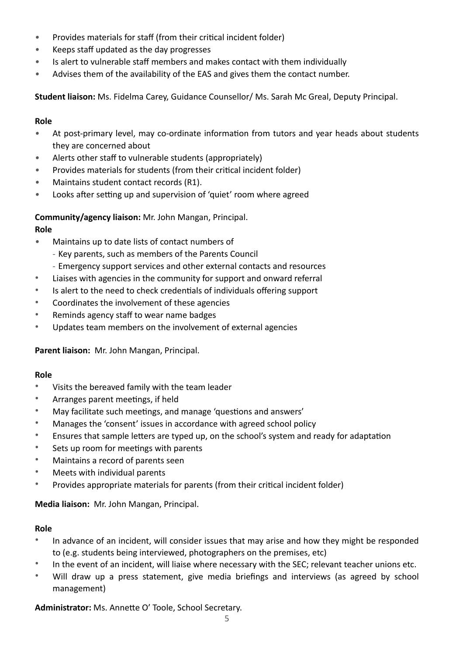- Provides materials for staff (from their critical incident folder)
- *•* Keeps staff updated as the day progresses
- *•* Is alert to vulnerable staff members and makes contact with them individually
- *•* Advises them of the availability of the EAS and gives them the contact number.

**Student liaison:** Ms. Fidelma Carey, Guidance Counsellor/ Ms. Sarah Mc Greal, Deputy Principal.

#### **Role**

- At post-primary level, may co-ordinate information from tutors and year heads about students they are concerned about
- *•* Alerts other staff to vulnerable students (appropriately)
- **Provides materials for students (from their critical incident folder)**
- *•* Maintains student contact records (R1).
- Looks after setting up and supervision of 'quiet' room where agreed

**Community/agency liaison:** Mr. John Mangan, Principal.

#### **Role**

- *•* Maintains up to date lists of contact numbers of
	- Key parents, such as members of the Parents Council
	- Emergency support services and other external contacts and resources
- Liaises with agencies in the community for support and onward referral
- Is alert to the need to check credentials of individuals offering support
- Coordinates the involvement of these agencies
- Reminds agency staff to wear name badges
- Updates team members on the involvement of external agencies

**Parent liaison:** Mr. John Mangan, Principal.

#### **Role**

- Visits the bereaved family with the team leader
- Arranges parent meetings, if held
- May facilitate such meetings, and manage 'questions and answers'
- Manages the 'consent' issues in accordance with agreed school policy
- Ensures that sample letters are typed up, on the school's system and ready for adaptation
- Sets up room for meetings with parents
- Maintains a record of parents seen
- Meets with individual parents
- Provides appropriate materials for parents (from their critical incident folder)

**Media liaison:** Mr. John Mangan, Principal.

#### **Role**

- In advance of an incident, will consider issues that may arise and how they might be responded to (e.g. students being interviewed, photographers on the premises, etc)
- In the event of an incident, will liaise where necessary with the SEC; relevant teacher unions etc.
- Will draw up a press statement, give media briefings and interviews (as agreed by school management)

Administrator: Ms. Annette O' Toole, School Secretary.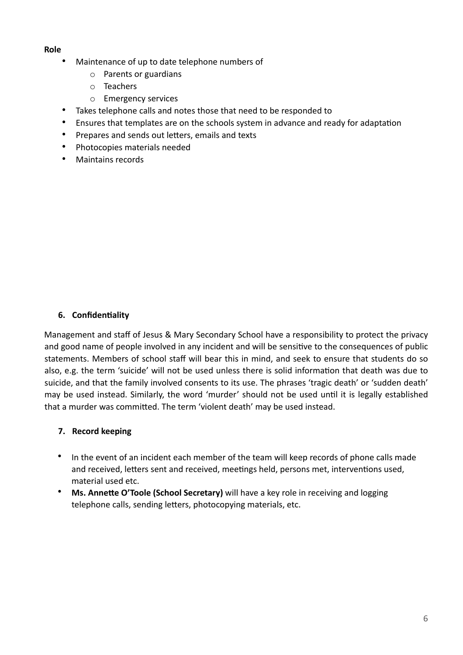#### **Role**

- Maintenance of up to date telephone numbers of
	- o Parents or guardians
	- o Teachers
	- o Emergency services
- Takes telephone calls and notes those that need to be responded to
- Ensures that templates are on the schools system in advance and ready for adaptation
- Prepares and sends out letters, emails and texts
- Photocopies materials needed
- Maintains records

#### **6.** Confidentiality

Management and staff of Jesus & Mary Secondary School have a responsibility to protect the privacy and good name of people involved in any incident and will be sensitive to the consequences of public statements. Members of school staff will bear this in mind, and seek to ensure that students do so also, e.g. the term 'suicide' will not be used unless there is solid information that death was due to suicide, and that the family involved consents to its use. The phrases 'tragic death' or 'sudden death' may be used instead. Similarly, the word 'murder' should not be used until it is legally established that a murder was committed. The term 'violent death' may be used instead.

#### <span id="page-6-0"></span>**7. Record keeping**

- In the event of an incident each member of the team will keep records of phone calls made and received, letters sent and received, meetings held, persons met, interventions used, material used etc.
- Ms. Annette O'Toole (School Secretary) will have a key role in receiving and logging telephone calls, sending letters, photocopying materials, etc.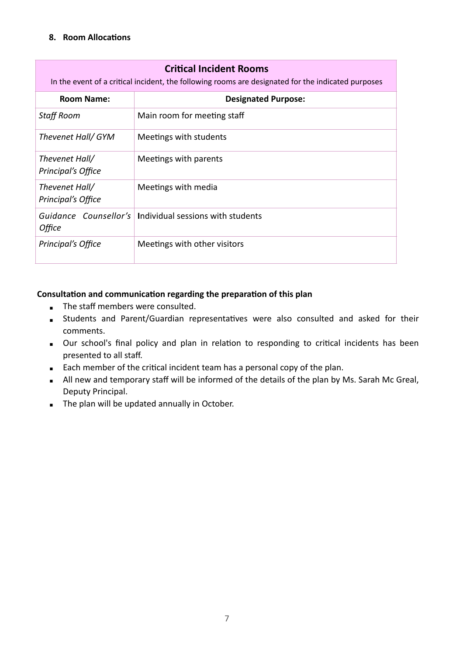#### <span id="page-7-0"></span>**8.** Room Allocations

| <b>Critical Incident Rooms</b><br>In the event of a critical incident, the following rooms are designated for the indicated purposes |                                                           |  |
|--------------------------------------------------------------------------------------------------------------------------------------|-----------------------------------------------------------|--|
| <b>Room Name:</b>                                                                                                                    | <b>Designated Purpose:</b>                                |  |
| <b>Staff Room</b>                                                                                                                    | Main room for meeting staff                               |  |
| Thevenet Hall/ GYM                                                                                                                   | Meetings with students                                    |  |
| Thevenet Hall/<br>Principal's Office                                                                                                 | Meetings with parents                                     |  |
| Thevenet Hall/<br>Principal's Office                                                                                                 | Meetings with media                                       |  |
| Office                                                                                                                               | Guidance Counsellor's   Individual sessions with students |  |
| Principal's Office                                                                                                                   | Meetings with other visitors                              |  |

#### Consultation and communication regarding the preparation of this plan

- The staff members were consulted.
- **EXTENDIATE:** Students and Parent/Guardian representatives were also consulted and asked for their comments.
- **.** Our school's final policy and plan in relation to responding to critical incidents has been presented to all staff.
- Each member of the critical incident team has a personal copy of the plan.
- All new and temporary staff will be informed of the details of the plan by Ms. Sarah Mc Greal, Deputy Principal.
- The plan will be updated annually in October.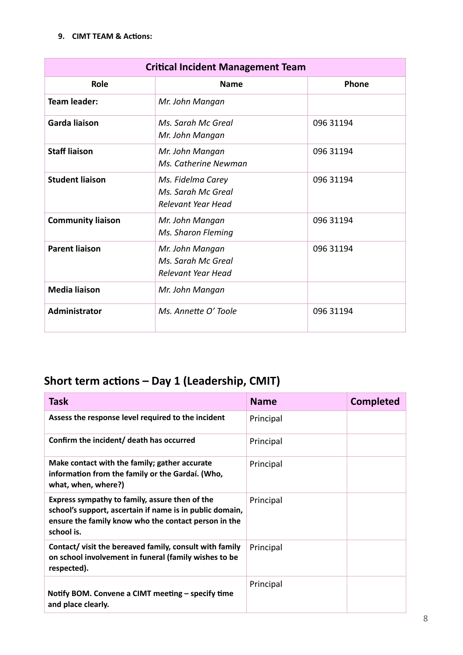#### <span id="page-8-0"></span>**9. CIMT TEAM & Actions:**

| <b>Critical Incident Management Team</b> |                                                               |           |
|------------------------------------------|---------------------------------------------------------------|-----------|
| Role                                     | <b>Name</b>                                                   | Phone     |
| <b>Team leader:</b>                      | Mr. John Mangan                                               |           |
| <b>Garda liaison</b>                     | Ms. Sarah Mc Greal<br>Mr. John Mangan                         | 096 31194 |
| <b>Staff liaison</b>                     | Mr. John Mangan<br>Ms. Catherine Newman                       | 096 31194 |
| <b>Student liaison</b>                   | Ms. Fidelma Carey<br>Ms. Sarah Mc Greal<br>Relevant Year Head | 096 31194 |
| <b>Community liaison</b>                 | Mr. John Mangan<br>Ms. Sharon Fleming                         | 096 31194 |
| <b>Parent liaison</b>                    | Mr. John Mangan<br>Ms. Sarah Mc Greal<br>Relevant Year Head   | 096 31194 |
| <b>Media liaison</b>                     | Mr. John Mangan                                               |           |
| Administrator                            | Ms. Annette O' Toole                                          | 096 31194 |

## **Short term actions – Day 1 (Leadership, CMIT)**

| <b>Task</b>                                                                                                                                                                      | <b>Name</b> | <b>Completed</b> |
|----------------------------------------------------------------------------------------------------------------------------------------------------------------------------------|-------------|------------------|
| Assess the response level required to the incident                                                                                                                               | Principal   |                  |
| Confirm the incident/ death has occurred                                                                                                                                         | Principal   |                  |
| Make contact with the family; gather accurate<br>information from the family or the Gardaí. (Who,<br>what, when, where?)                                                         | Principal   |                  |
| Express sympathy to family, assure then of the<br>school's support, ascertain if name is in public domain,<br>ensure the family know who the contact person in the<br>school is. | Principal   |                  |
| Contact/ visit the bereaved family, consult with family<br>on school involvement in funeral (family wishes to be<br>respected).                                                  | Principal   |                  |
| Notify BOM. Convene a CIMT meeting - specify time<br>and place clearly.                                                                                                          | Principal   |                  |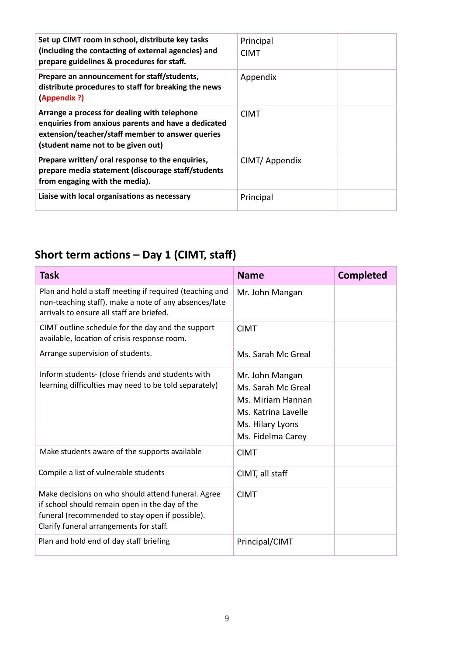| Set up CIMT room in school, distribute key tasks<br>(including the contacting of external agencies) and<br>prepare guidelines & procedures for staff.                                         | Principal<br><b>CIMT</b> |  |
|-----------------------------------------------------------------------------------------------------------------------------------------------------------------------------------------------|--------------------------|--|
| Prepare an announcement for staff/students,<br>distribute procedures to staff for breaking the news<br>(Appendix ?)                                                                           | Appendix                 |  |
| Arrange a process for dealing with telephone<br>enquiries from anxious parents and have a dedicated<br>extension/teacher/staff member to answer queries<br>(student name not to be given out) | <b>CIMT</b>              |  |
| Prepare written/ oral response to the enquiries,<br>prepare media statement (discourage staff/students<br>from engaging with the media).                                                      | CIMT/ Appendix           |  |
| Liaise with local organisations as necessary                                                                                                                                                  | Principal                |  |

## Short term actions – Day 1 (CIMT, staff)

| <b>Task</b>                                                                                                                                                                                        | <b>Name</b>                                                                                                                | <b>Completed</b> |
|----------------------------------------------------------------------------------------------------------------------------------------------------------------------------------------------------|----------------------------------------------------------------------------------------------------------------------------|------------------|
| Plan and hold a staff meeting if required (teaching and<br>non-teaching staff), make a note of any absences/late<br>arrivals to ensure all staff are briefed.                                      | Mr. John Mangan                                                                                                            |                  |
| CIMT outline schedule for the day and the support<br>available, location of crisis response room.                                                                                                  | <b>CIMT</b>                                                                                                                |                  |
| Arrange supervision of students.                                                                                                                                                                   | Ms. Sarah Mc Greal                                                                                                         |                  |
| Inform students- (close friends and students with<br>learning difficulties may need to be told separately)                                                                                         | Mr. John Mangan<br>Ms. Sarah Mc Greal<br>Ms. Miriam Hannan<br>Ms. Katrina Lavelle<br>Ms. Hilary Lyons<br>Ms. Fidelma Carey |                  |
| Make students aware of the supports available                                                                                                                                                      | <b>CIMT</b>                                                                                                                |                  |
| Compile a list of vulnerable students                                                                                                                                                              | CIMT, all staff                                                                                                            |                  |
| Make decisions on who should attend funeral. Agree<br>if school should remain open in the day of the<br>funeral (recommended to stay open if possible).<br>Clarify funeral arrangements for staff. | <b>CIMT</b>                                                                                                                |                  |
| Plan and hold end of day staff briefing                                                                                                                                                            | Principal/CIMT                                                                                                             |                  |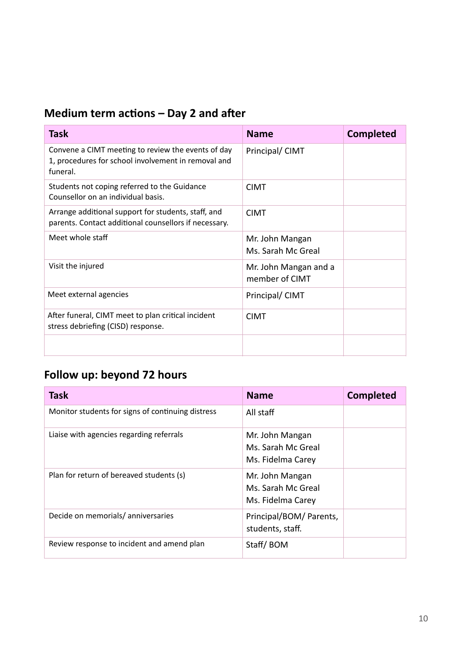## **Medium term actions – Day 2 and after**

| <b>Task</b>                                                                                                           | <b>Name</b>                             | <b>Completed</b> |
|-----------------------------------------------------------------------------------------------------------------------|-----------------------------------------|------------------|
| Convene a CIMT meeting to review the events of day<br>1, procedures for school involvement in removal and<br>funeral. | Principal/ CIMT                         |                  |
| Students not coping referred to the Guidance<br>Counsellor on an individual basis.                                    | <b>CIMT</b>                             |                  |
| Arrange additional support for students, staff, and<br>parents. Contact additional counsellors if necessary.          | <b>CIMT</b>                             |                  |
| Meet whole staff                                                                                                      | Mr. John Mangan<br>Ms. Sarah Mc Greal   |                  |
| Visit the injured                                                                                                     | Mr. John Mangan and a<br>member of CIMT |                  |
| Meet external agencies                                                                                                | Principal/ CIMT                         |                  |
| After funeral, CIMT meet to plan critical incident<br>stress debriefing (CISD) response.                              | <b>CIMT</b>                             |                  |
|                                                                                                                       |                                         |                  |

## **Follow up: beyond 72 hours**

| <b>Task</b>                                       | <b>Name</b>                                                | <b>Completed</b> |
|---------------------------------------------------|------------------------------------------------------------|------------------|
| Monitor students for signs of continuing distress | All staff                                                  |                  |
| Liaise with agencies regarding referrals          | Mr. John Mangan<br>Ms. Sarah Mc Greal<br>Ms. Fidelma Carey |                  |
| Plan for return of bereaved students (s)          | Mr. John Mangan<br>Ms. Sarah Mc Greal<br>Ms. Fidelma Carey |                  |
| Decide on memorials/anniversaries                 | Principal/BOM/ Parents,<br>students, staff.                |                  |
| Review response to incident and amend plan        | Staff/BOM                                                  |                  |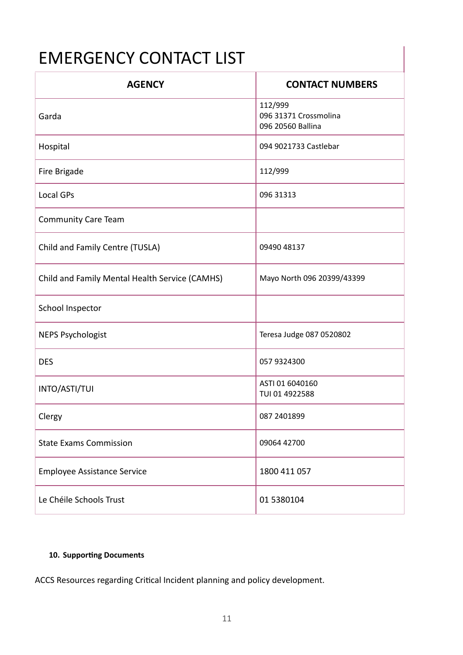# EMERGENCY CONTACT LIST

| <b>AGENCY</b>                                  | <b>CONTACT NUMBERS</b>                                |
|------------------------------------------------|-------------------------------------------------------|
| Garda                                          | 112/999<br>096 31371 Crossmolina<br>096 20560 Ballina |
| Hospital                                       | 094 9021733 Castlebar                                 |
| Fire Brigade                                   | 112/999                                               |
| Local GPs                                      | 096 31313                                             |
| <b>Community Care Team</b>                     |                                                       |
| Child and Family Centre (TUSLA)                | 09490 48137                                           |
| Child and Family Mental Health Service (CAMHS) | Mayo North 096 20399/43399                            |
| School Inspector                               |                                                       |
| <b>NEPS Psychologist</b>                       | Teresa Judge 087 0520802                              |
| <b>DES</b>                                     | 057 9324300                                           |
| INTO/ASTI/TUI                                  | ASTI 01 6040160<br>TUI 01 4922588                     |
| Clergy                                         | 087 2401899                                           |
| <b>State Exams Commission</b>                  | 09064 42700                                           |
| <b>Employee Assistance Service</b>             | 1800 411 057                                          |
| Le Chéile Schools Trust                        | 01 5380104                                            |

#### <span id="page-11-0"></span>**10. Supporting Documents**

ACCS Resources regarding Critical Incident planning and policy development.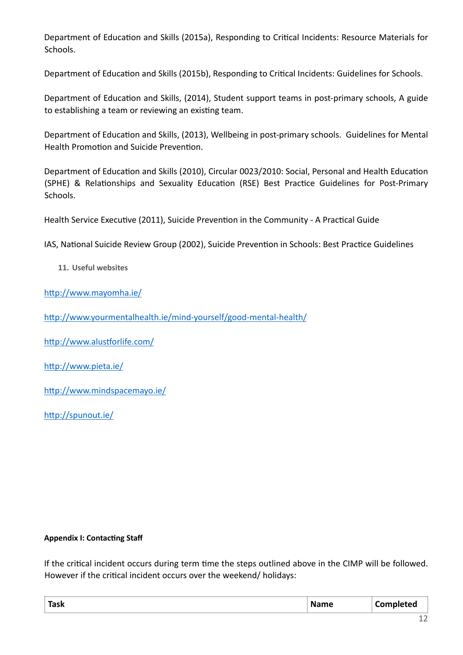Department of Education and Skills (2015a), Responding to Critical Incidents: Resource Materials for Schools.

Department of Education and Skills (2015b), Responding to Critical Incidents: Guidelines for Schools.

Department of Education and Skills, (2014), Student support teams in post-primary schools, A guide to establishing a team or reviewing an existing team.

Department of Education and Skills, (2013), Wellbeing in post-primary schools. Guidelines for Mental Health Promotion and Suicide Prevention.

Department of Education and Skills (2010), Circular 0023/2010: Social, Personal and Health Education (SPHE) & Relationships and Sexuality Education (RSE) Best Practice Guidelines for Post-Primary Schools.

Health Service Executive (2011), Suicide Prevention in the Community - A Practical Guide

IAS, National Suicide Review Group (2002), Suicide Prevention in Schools: Best Practice Guidelines

<span id="page-12-0"></span>**11. Useful websites** 

http://www.mayomha.ie/

http://www.yourmentalhealth.ie/mind-yourself/good-mental-health/

http://www.alustforlife.com/

http://www.pieta.ie/

http://www.mindspacemayo.ie/

http://spunout.ie/

#### <span id="page-12-1"></span>**Appendix I: Contacting Staff**

If the critical incident occurs during term time the steps outlined above in the CIMP will be followed. However if the critical incident occurs over the weekend/ holidays:

| <b>Task</b> | ame<br>M<br>_____ | .eu<br>___ |
|-------------|-------------------|------------|
|             |                   |            |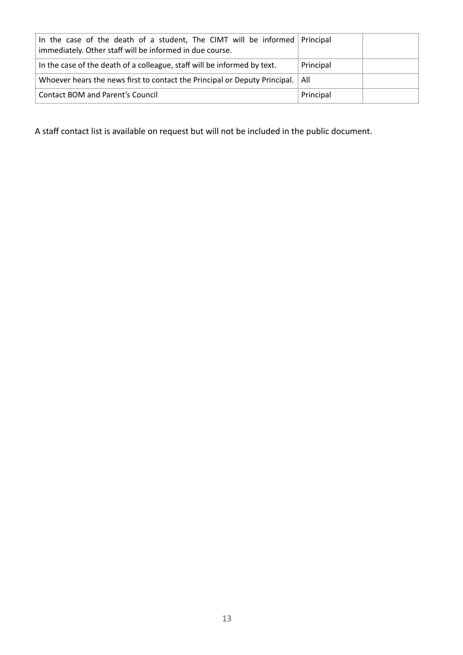| In the case of the death of a student, The CIMT will be informed Principal<br>immediately. Other staff will be informed in due course. |           |  |
|----------------------------------------------------------------------------------------------------------------------------------------|-----------|--|
| In the case of the death of a colleague, staff will be informed by text.                                                               | Principal |  |
| Whoever hears the news first to contact the Principal or Deputy Principal.                                                             | ∣ All     |  |
| Contact BOM and Parent's Council                                                                                                       | Principal |  |

A staff contact list is available on request but will not be included in the public document.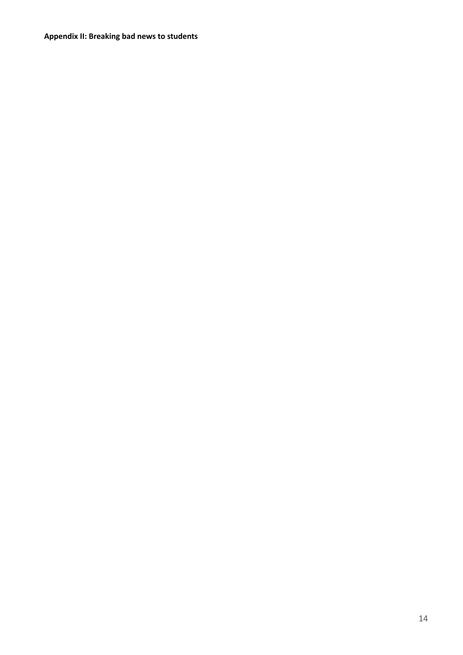<span id="page-14-0"></span>**Appendix II: Breaking bad news to students**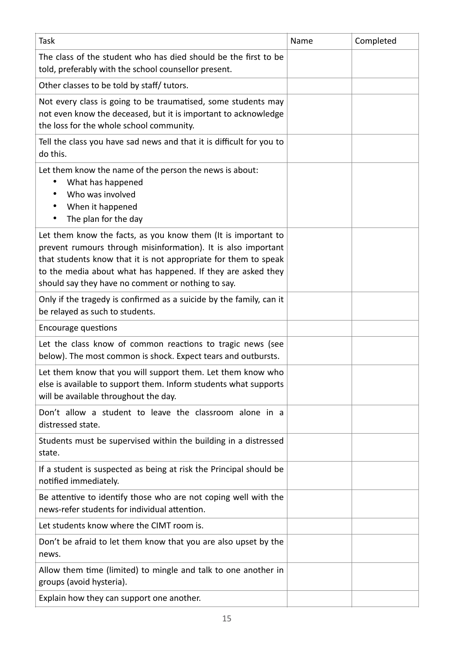| <b>Task</b>                                                                                                                                                                                                                                                                                                             | Name | Completed |
|-------------------------------------------------------------------------------------------------------------------------------------------------------------------------------------------------------------------------------------------------------------------------------------------------------------------------|------|-----------|
| The class of the student who has died should be the first to be<br>told, preferably with the school counsellor present.                                                                                                                                                                                                 |      |           |
| Other classes to be told by staff/ tutors.                                                                                                                                                                                                                                                                              |      |           |
| Not every class is going to be traumatised, some students may<br>not even know the deceased, but it is important to acknowledge<br>the loss for the whole school community.                                                                                                                                             |      |           |
| Tell the class you have sad news and that it is difficult for you to<br>do this.                                                                                                                                                                                                                                        |      |           |
| Let them know the name of the person the news is about:<br>What has happened<br>Who was involved<br>When it happened<br>The plan for the day<br>٠                                                                                                                                                                       |      |           |
| Let them know the facts, as you know them (It is important to<br>prevent rumours through misinformation). It is also important<br>that students know that it is not appropriate for them to speak<br>to the media about what has happened. If they are asked they<br>should say they have no comment or nothing to say. |      |           |
| Only if the tragedy is confirmed as a suicide by the family, can it<br>be relayed as such to students.                                                                                                                                                                                                                  |      |           |
| <b>Encourage questions</b>                                                                                                                                                                                                                                                                                              |      |           |
| Let the class know of common reactions to tragic news (see<br>below). The most common is shock. Expect tears and outbursts.                                                                                                                                                                                             |      |           |
| Let them know that you will support them. Let them know who<br>else is available to support them. Inform students what supports<br>will be available throughout the day.                                                                                                                                                |      |           |
| Don't allow a student to leave the classroom alone in a<br>distressed state.                                                                                                                                                                                                                                            |      |           |
| Students must be supervised within the building in a distressed<br>state.                                                                                                                                                                                                                                               |      |           |
| If a student is suspected as being at risk the Principal should be<br>notified immediately.                                                                                                                                                                                                                             |      |           |
| Be attentive to identify those who are not coping well with the<br>news-refer students for individual attention.                                                                                                                                                                                                        |      |           |
| Let students know where the CIMT room is.                                                                                                                                                                                                                                                                               |      |           |
| Don't be afraid to let them know that you are also upset by the<br>news.                                                                                                                                                                                                                                                |      |           |
| Allow them time (limited) to mingle and talk to one another in<br>groups (avoid hysteria).                                                                                                                                                                                                                              |      |           |
| Explain how they can support one another.                                                                                                                                                                                                                                                                               |      |           |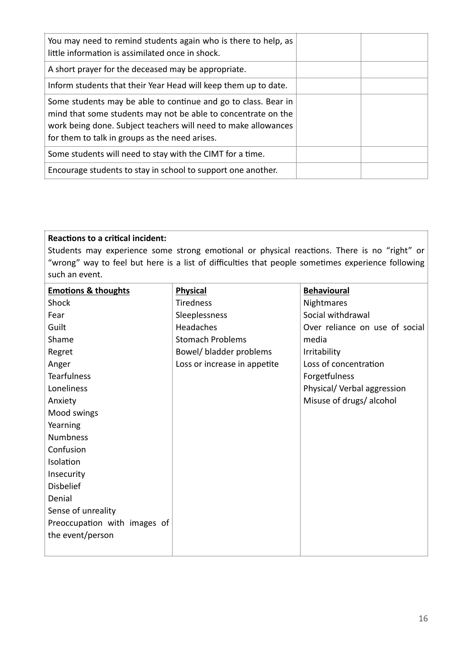| You may need to remind students again who is there to help, as<br>little information is assimilated once in shock.                                                                                                                                  |  |
|-----------------------------------------------------------------------------------------------------------------------------------------------------------------------------------------------------------------------------------------------------|--|
| A short prayer for the deceased may be appropriate.                                                                                                                                                                                                 |  |
| Inform students that their Year Head will keep them up to date.                                                                                                                                                                                     |  |
| Some students may be able to continue and go to class. Bear in<br>mind that some students may not be able to concentrate on the<br>work being done. Subject teachers will need to make allowances<br>for them to talk in groups as the need arises. |  |
| Some students will need to stay with the CIMT for a time.                                                                                                                                                                                           |  |
| Encourage students to stay in school to support one another.                                                                                                                                                                                        |  |

#### **Reactions to a critical incident:**

Students may experience some strong emotional or physical reactions. There is no "right" or "wrong" way to feel but here is a list of difficulties that people sometimes experience following such an event.

| <b>Emotions &amp; thoughts</b> | <b>Physical</b>              | <b>Behavioural</b>             |
|--------------------------------|------------------------------|--------------------------------|
| Shock                          | <b>Tiredness</b>             | Nightmares                     |
| Fear                           | Sleeplessness                | Social withdrawal              |
| Guilt                          | Headaches                    | Over reliance on use of social |
| Shame                          | <b>Stomach Problems</b>      | media                          |
| Regret                         | Bowel/ bladder problems      | Irritability                   |
| Anger                          | Loss or increase in appetite | Loss of concentration          |
| <b>Tearfulness</b>             |                              | Forgetfulness                  |
| Loneliness                     |                              | Physical/ Verbal aggression    |
| Anxiety                        |                              | Misuse of drugs/ alcohol       |
| Mood swings                    |                              |                                |
| Yearning                       |                              |                                |
| <b>Numbness</b>                |                              |                                |
| Confusion                      |                              |                                |
| Isolation                      |                              |                                |
| Insecurity                     |                              |                                |
| <b>Disbelief</b>               |                              |                                |
| Denial                         |                              |                                |
| Sense of unreality             |                              |                                |
| Preoccupation with images of   |                              |                                |
| the event/person               |                              |                                |
|                                |                              |                                |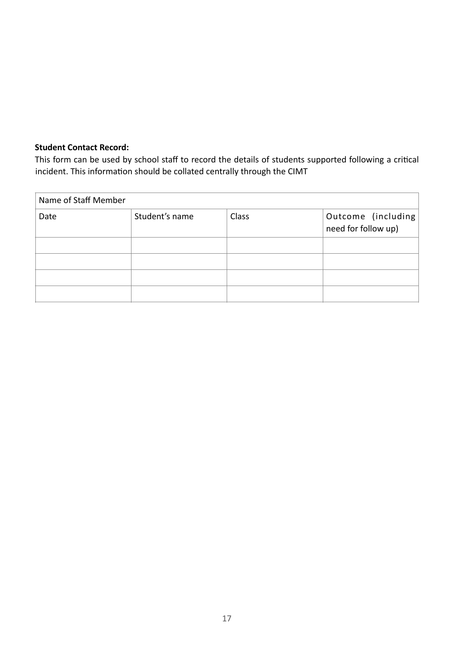#### **Student Contact Record:**

This form can be used by school staff to record the details of students supported following a critical incident. This information should be collated centrally through the CIMT

| Name of Staff Member |                |       |                                           |  |
|----------------------|----------------|-------|-------------------------------------------|--|
| Date                 | Student's name | Class | Outcome (including<br>need for follow up) |  |
|                      |                |       |                                           |  |
|                      |                |       |                                           |  |
|                      |                |       |                                           |  |
|                      |                |       |                                           |  |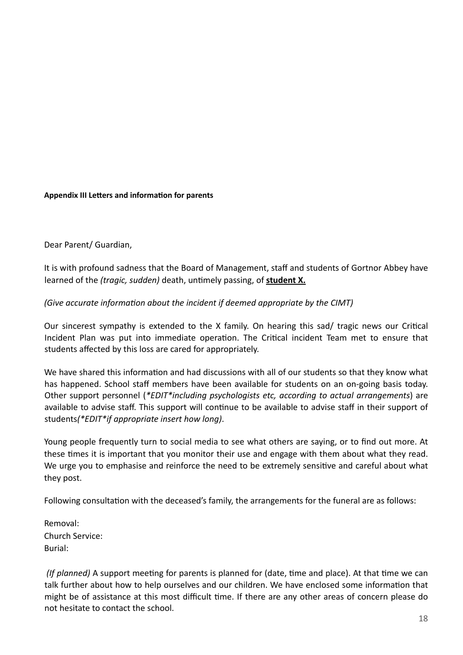#### <span id="page-18-0"></span>**Appendix III Letters and information for parents**

Dear Parent/ Guardian,

It is with profound sadness that the Board of Management, staff and students of Gortnor Abbey have learned of the *(tragic, sudden)* death, untimely passing, of **student X.** 

#### *(Give accurate information about the incident if deemed appropriate by the CIMT)*

Our sincerest sympathy is extended to the X family. On hearing this sad/ tragic news our Critical Incident Plan was put into immediate operation. The Critical incident Team met to ensure that students affected by this loss are cared for appropriately.

We have shared this information and had discussions with all of our students so that they know what has happened. School staff members have been available for students on an on-going basis today. Other support personnel (*\*EDIT\*including psychologists etc, according to actual arrangements*) are available to advise staff. This support will continue to be available to advise staff in their support of students*(\*EDIT\*if appropriate insert how long)*.

Young people frequently turn to social media to see what others are saying, or to find out more. At these times it is important that you monitor their use and engage with them about what they read. We urge you to emphasise and reinforce the need to be extremely sensitive and careful about what they post.

Following consultation with the deceased's family, the arrangements for the funeral are as follows:

Removal: Church Service: Burial:

*(If planned)* A support meeting for parents is planned for (date, time and place). At that time we can talk further about how to help ourselves and our children. We have enclosed some information that might be of assistance at this most difficult time. If there are any other areas of concern please do not hesitate to contact the school.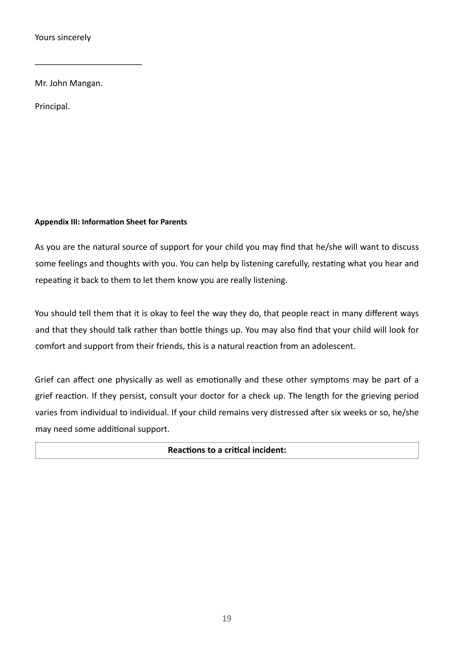Yours sincerely

Mr. John Mangan.

\_\_\_\_\_\_\_\_\_\_\_\_\_\_\_\_\_\_\_\_\_\_\_

Principal.

#### <span id="page-19-0"></span>**Appendix III: Information Sheet for Parents**

As you are the natural source of support for your child you may find that he/she will want to discuss some feelings and thoughts with you. You can help by listening carefully, restating what you hear and repeating it back to them to let them know you are really listening.

You should tell them that it is okay to feel the way they do, that people react in many different ways and that they should talk rather than bottle things up. You may also find that your child will look for comfort and support from their friends, this is a natural reaction from an adolescent.

Grief can affect one physically as well as emotionally and these other symptoms may be part of a grief reaction. If they persist, consult your doctor for a check up. The length for the grieving period varies from individual to individual. If your child remains very distressed after six weeks or so, he/she may need some additional support.

#### **Reactions to a critical incident:**